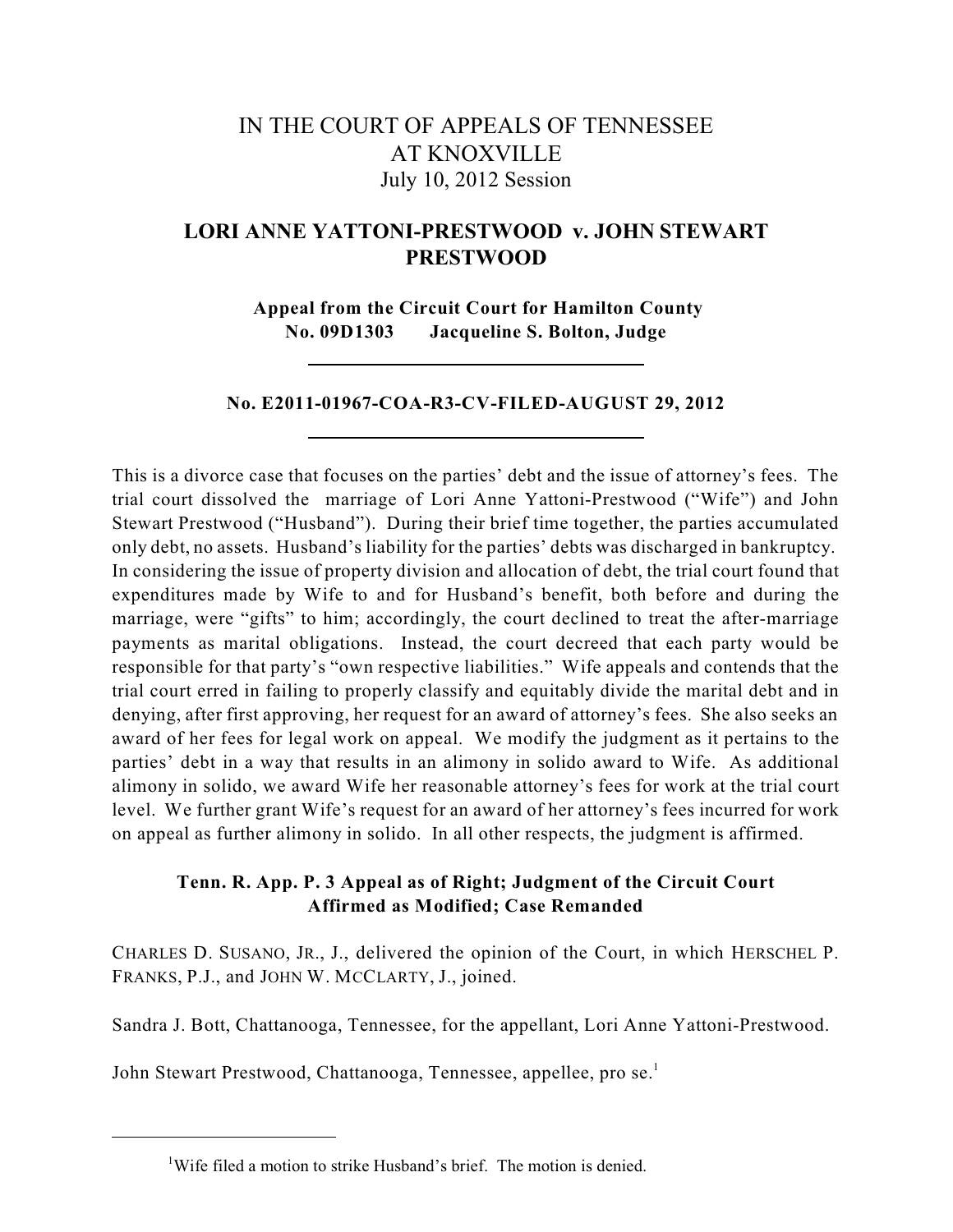# IN THE COURT OF APPEALS OF TENNESSEE AT KNOXVILLE July 10, 2012 Session

# **LORI ANNE YATTONI-PRESTWOOD v. JOHN STEWART PRESTWOOD**

**Appeal from the Circuit Court for Hamilton County No. 09D1303 Jacqueline S. Bolton, Judge**

# **No. E2011-01967-COA-R3-CV-FILED-AUGUST 29, 2012**

This is a divorce case that focuses on the parties' debt and the issue of attorney's fees. The trial court dissolved the marriage of Lori Anne Yattoni-Prestwood ("Wife") and John Stewart Prestwood ("Husband"). During their brief time together, the parties accumulated only debt, no assets. Husband's liability for the parties' debts was discharged in bankruptcy. In considering the issue of property division and allocation of debt, the trial court found that expenditures made by Wife to and for Husband's benefit, both before and during the marriage, were "gifts" to him; accordingly, the court declined to treat the after-marriage payments as marital obligations. Instead, the court decreed that each party would be responsible for that party's "own respective liabilities." Wife appeals and contends that the trial court erred in failing to properly classify and equitably divide the marital debt and in denying, after first approving, her request for an award of attorney's fees. She also seeks an award of her fees for legal work on appeal. We modify the judgment as it pertains to the parties' debt in a way that results in an alimony in solido award to Wife. As additional alimony in solido, we award Wife her reasonable attorney's fees for work at the trial court level. We further grant Wife's request for an award of her attorney's fees incurred for work on appeal as further alimony in solido. In all other respects, the judgment is affirmed.

# **Tenn. R. App. P. 3 Appeal as of Right; Judgment of the Circuit Court Affirmed as Modified; Case Remanded**

CHARLES D. SUSANO, JR., J., delivered the opinion of the Court, in which HERSCHEL P. FRANKS, P.J., and JOHN W. MCCLARTY, J., joined.

Sandra J. Bott, Chattanooga, Tennessee, for the appellant, Lori Anne Yattoni-Prestwood.

John Stewart Prestwood, Chattanooga, Tennessee, appellee, pro se.<sup>1</sup>

<sup>&</sup>lt;sup>1</sup>Wife filed a motion to strike Husband's brief. The motion is denied.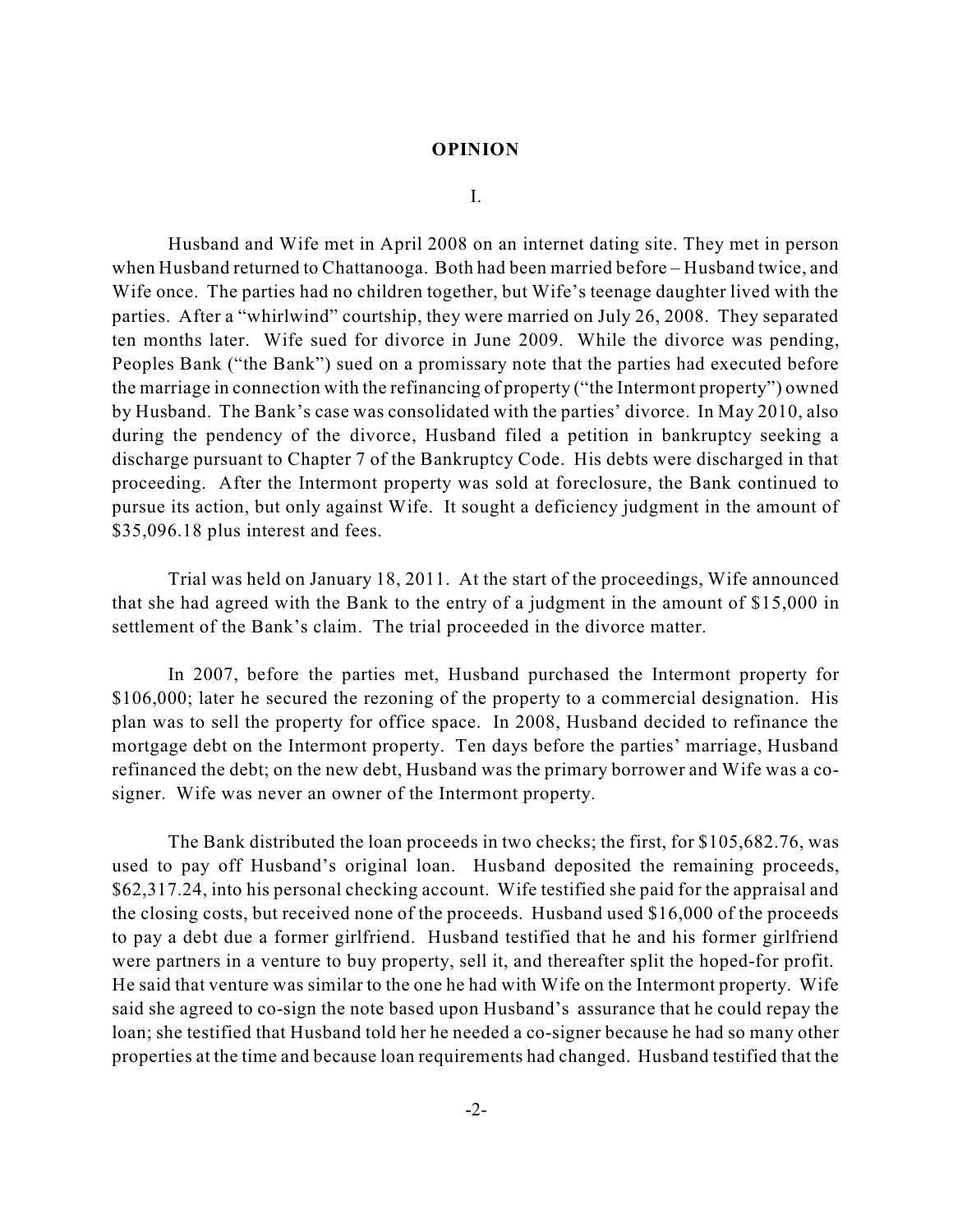#### **OPINION**

I.

Husband and Wife met in April 2008 on an internet dating site. They met in person when Husband returned to Chattanooga. Both had been married before – Husband twice, and Wife once. The parties had no children together, but Wife's teenage daughter lived with the parties. After a "whirlwind" courtship, they were married on July 26, 2008. They separated ten months later. Wife sued for divorce in June 2009. While the divorce was pending, Peoples Bank ("the Bank") sued on a promissary note that the parties had executed before the marriage in connection with the refinancing of property ("the Intermont property") owned by Husband. The Bank's case was consolidated with the parties' divorce. In May 2010, also during the pendency of the divorce, Husband filed a petition in bankruptcy seeking a discharge pursuant to Chapter 7 of the Bankruptcy Code. His debts were discharged in that proceeding. After the Intermont property was sold at foreclosure, the Bank continued to pursue its action, but only against Wife. It sought a deficiency judgment in the amount of \$35,096.18 plus interest and fees.

Trial was held on January 18, 2011. At the start of the proceedings, Wife announced that she had agreed with the Bank to the entry of a judgment in the amount of \$15,000 in settlement of the Bank's claim. The trial proceeded in the divorce matter.

In 2007, before the parties met, Husband purchased the Intermont property for \$106,000; later he secured the rezoning of the property to a commercial designation. His plan was to sell the property for office space. In 2008, Husband decided to refinance the mortgage debt on the Intermont property. Ten days before the parties' marriage, Husband refinanced the debt; on the new debt, Husband was the primary borrower and Wife was a cosigner. Wife was never an owner of the Intermont property.

The Bank distributed the loan proceeds in two checks; the first, for \$105,682.76, was used to pay off Husband's original loan. Husband deposited the remaining proceeds, \$62,317.24, into his personal checking account. Wife testified she paid for the appraisal and the closing costs, but received none of the proceeds. Husband used \$16,000 of the proceeds to pay a debt due a former girlfriend. Husband testified that he and his former girlfriend were partners in a venture to buy property, sell it, and thereafter split the hoped-for profit. He said that venture was similar to the one he had with Wife on the Intermont property. Wife said she agreed to co-sign the note based upon Husband's assurance that he could repay the loan; she testified that Husband told her he needed a co-signer because he had so many other properties at the time and because loan requirements had changed. Husband testified that the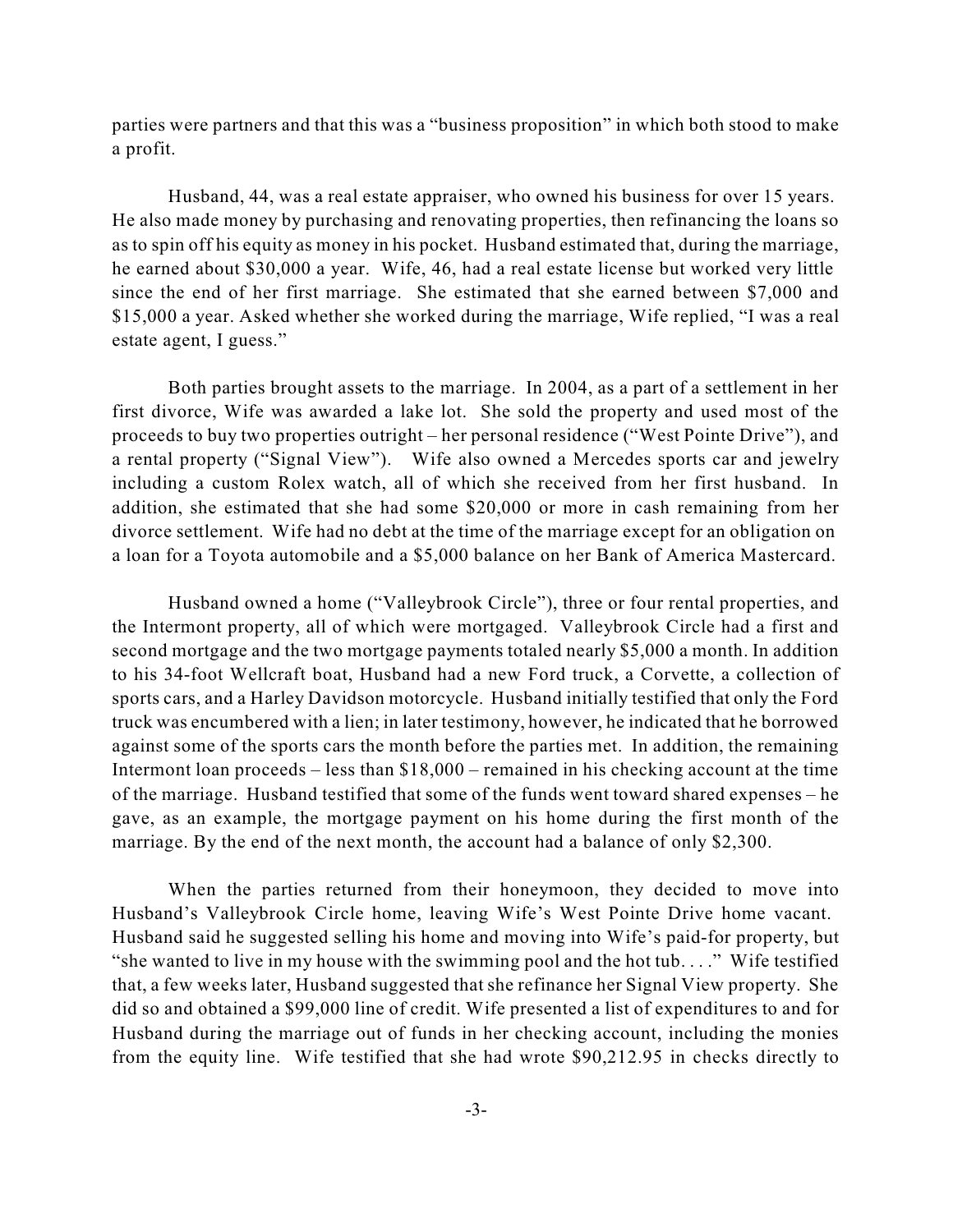parties were partners and that this was a "business proposition" in which both stood to make a profit.

Husband, 44, was a real estate appraiser, who owned his business for over 15 years. He also made money by purchasing and renovating properties, then refinancing the loans so as to spin off his equity as money in his pocket. Husband estimated that, during the marriage, he earned about \$30,000 a year. Wife, 46, had a real estate license but worked very little since the end of her first marriage. She estimated that she earned between \$7,000 and \$15,000 a year. Asked whether she worked during the marriage, Wife replied, "I was a real estate agent, I guess."

Both parties brought assets to the marriage. In 2004, as a part of a settlement in her first divorce, Wife was awarded a lake lot. She sold the property and used most of the proceeds to buy two properties outright – her personal residence ("West Pointe Drive"), and a rental property ("Signal View"). Wife also owned a Mercedes sports car and jewelry including a custom Rolex watch, all of which she received from her first husband. In addition, she estimated that she had some \$20,000 or more in cash remaining from her divorce settlement. Wife had no debt at the time of the marriage except for an obligation on a loan for a Toyota automobile and a \$5,000 balance on her Bank of America Mastercard.

Husband owned a home ("Valleybrook Circle"), three or four rental properties, and the Intermont property, all of which were mortgaged. Valleybrook Circle had a first and second mortgage and the two mortgage payments totaled nearly \$5,000 a month. In addition to his 34-foot Wellcraft boat, Husband had a new Ford truck, a Corvette, a collection of sports cars, and a Harley Davidson motorcycle. Husband initially testified that only the Ford truck was encumbered with a lien; in later testimony, however, he indicated that he borrowed against some of the sports cars the month before the parties met. In addition, the remaining Intermont loan proceeds – less than \$18,000 – remained in his checking account at the time of the marriage. Husband testified that some of the funds went toward shared expenses – he gave, as an example, the mortgage payment on his home during the first month of the marriage. By the end of the next month, the account had a balance of only \$2,300.

When the parties returned from their honeymoon, they decided to move into Husband's Valleybrook Circle home, leaving Wife's West Pointe Drive home vacant. Husband said he suggested selling his home and moving into Wife's paid-for property, but "she wanted to live in my house with the swimming pool and the hot tub. . . ." Wife testified that, a few weeks later, Husband suggested that she refinance her Signal View property. She did so and obtained a \$99,000 line of credit. Wife presented a list of expenditures to and for Husband during the marriage out of funds in her checking account, including the monies from the equity line. Wife testified that she had wrote \$90,212.95 in checks directly to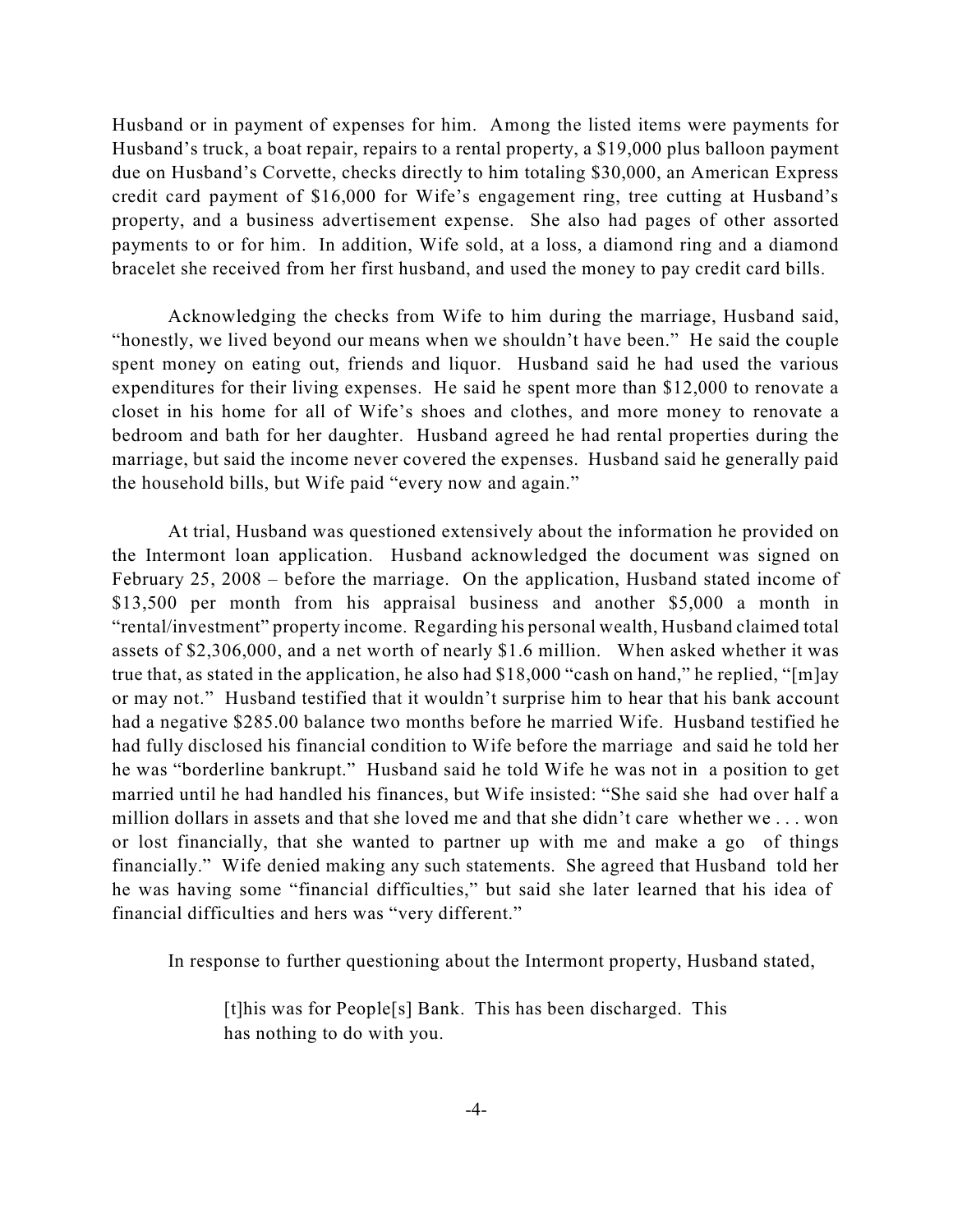Husband or in payment of expenses for him. Among the listed items were payments for Husband's truck, a boat repair, repairs to a rental property, a \$19,000 plus balloon payment due on Husband's Corvette, checks directly to him totaling \$30,000, an American Express credit card payment of \$16,000 for Wife's engagement ring, tree cutting at Husband's property, and a business advertisement expense. She also had pages of other assorted payments to or for him. In addition, Wife sold, at a loss, a diamond ring and a diamond bracelet she received from her first husband, and used the money to pay credit card bills.

Acknowledging the checks from Wife to him during the marriage, Husband said, "honestly, we lived beyond our means when we shouldn't have been." He said the couple spent money on eating out, friends and liquor. Husband said he had used the various expenditures for their living expenses. He said he spent more than \$12,000 to renovate a closet in his home for all of Wife's shoes and clothes, and more money to renovate a bedroom and bath for her daughter. Husband agreed he had rental properties during the marriage, but said the income never covered the expenses. Husband said he generally paid the household bills, but Wife paid "every now and again."

At trial, Husband was questioned extensively about the information he provided on the Intermont loan application. Husband acknowledged the document was signed on February 25, 2008 – before the marriage. On the application, Husband stated income of \$13,500 per month from his appraisal business and another \$5,000 a month in "rental/investment" property income. Regarding his personal wealth, Husband claimed total assets of \$2,306,000, and a net worth of nearly \$1.6 million. When asked whether it was true that, as stated in the application, he also had \$18,000 "cash on hand," he replied, "[m]ay or may not." Husband testified that it wouldn't surprise him to hear that his bank account had a negative \$285.00 balance two months before he married Wife. Husband testified he had fully disclosed his financial condition to Wife before the marriage and said he told her he was "borderline bankrupt." Husband said he told Wife he was not in a position to get married until he had handled his finances, but Wife insisted: "She said she had over half a million dollars in assets and that she loved me and that she didn't care whether we . . . won or lost financially, that she wanted to partner up with me and make a go of things financially." Wife denied making any such statements. She agreed that Husband told her he was having some "financial difficulties," but said she later learned that his idea of financial difficulties and hers was "very different."

In response to further questioning about the Intermont property, Husband stated,

[t]his was for People[s] Bank. This has been discharged. This has nothing to do with you.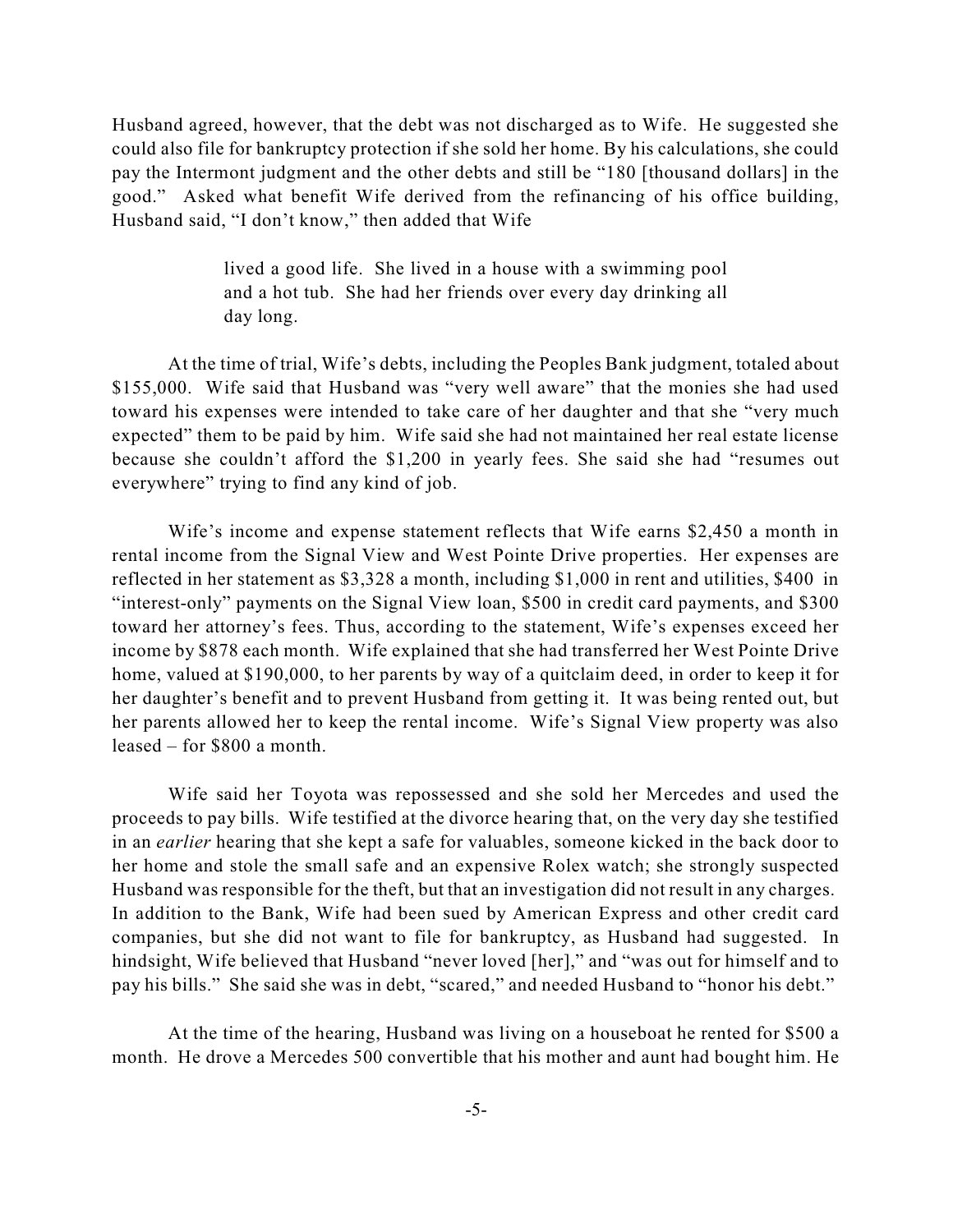Husband agreed, however, that the debt was not discharged as to Wife. He suggested she could also file for bankruptcy protection if she sold her home. By his calculations, she could pay the Intermont judgment and the other debts and still be "180 [thousand dollars] in the good." Asked what benefit Wife derived from the refinancing of his office building, Husband said, "I don't know," then added that Wife

> lived a good life. She lived in a house with a swimming pool and a hot tub. She had her friends over every day drinking all day long.

At the time of trial, Wife's debts, including the Peoples Bank judgment, totaled about \$155,000. Wife said that Husband was "very well aware" that the monies she had used toward his expenses were intended to take care of her daughter and that she "very much expected" them to be paid by him. Wife said she had not maintained her real estate license because she couldn't afford the \$1,200 in yearly fees. She said she had "resumes out everywhere" trying to find any kind of job.

Wife's income and expense statement reflects that Wife earns \$2,450 a month in rental income from the Signal View and West Pointe Drive properties. Her expenses are reflected in her statement as \$3,328 a month, including \$1,000 in rent and utilities, \$400 in "interest-only" payments on the Signal View loan, \$500 in credit card payments, and \$300 toward her attorney's fees. Thus, according to the statement, Wife's expenses exceed her income by \$878 each month. Wife explained that she had transferred her West Pointe Drive home, valued at \$190,000, to her parents by way of a quitclaim deed, in order to keep it for her daughter's benefit and to prevent Husband from getting it. It was being rented out, but her parents allowed her to keep the rental income. Wife's Signal View property was also leased – for \$800 a month.

Wife said her Toyota was repossessed and she sold her Mercedes and used the proceeds to pay bills. Wife testified at the divorce hearing that, on the very day she testified in an *earlier* hearing that she kept a safe for valuables, someone kicked in the back door to her home and stole the small safe and an expensive Rolex watch; she strongly suspected Husband was responsible for the theft, but that an investigation did not result in any charges. In addition to the Bank, Wife had been sued by American Express and other credit card companies, but she did not want to file for bankruptcy, as Husband had suggested. In hindsight, Wife believed that Husband "never loved [her]," and "was out for himself and to pay his bills." She said she was in debt, "scared," and needed Husband to "honor his debt."

At the time of the hearing, Husband was living on a houseboat he rented for \$500 a month. He drove a Mercedes 500 convertible that his mother and aunt had bought him. He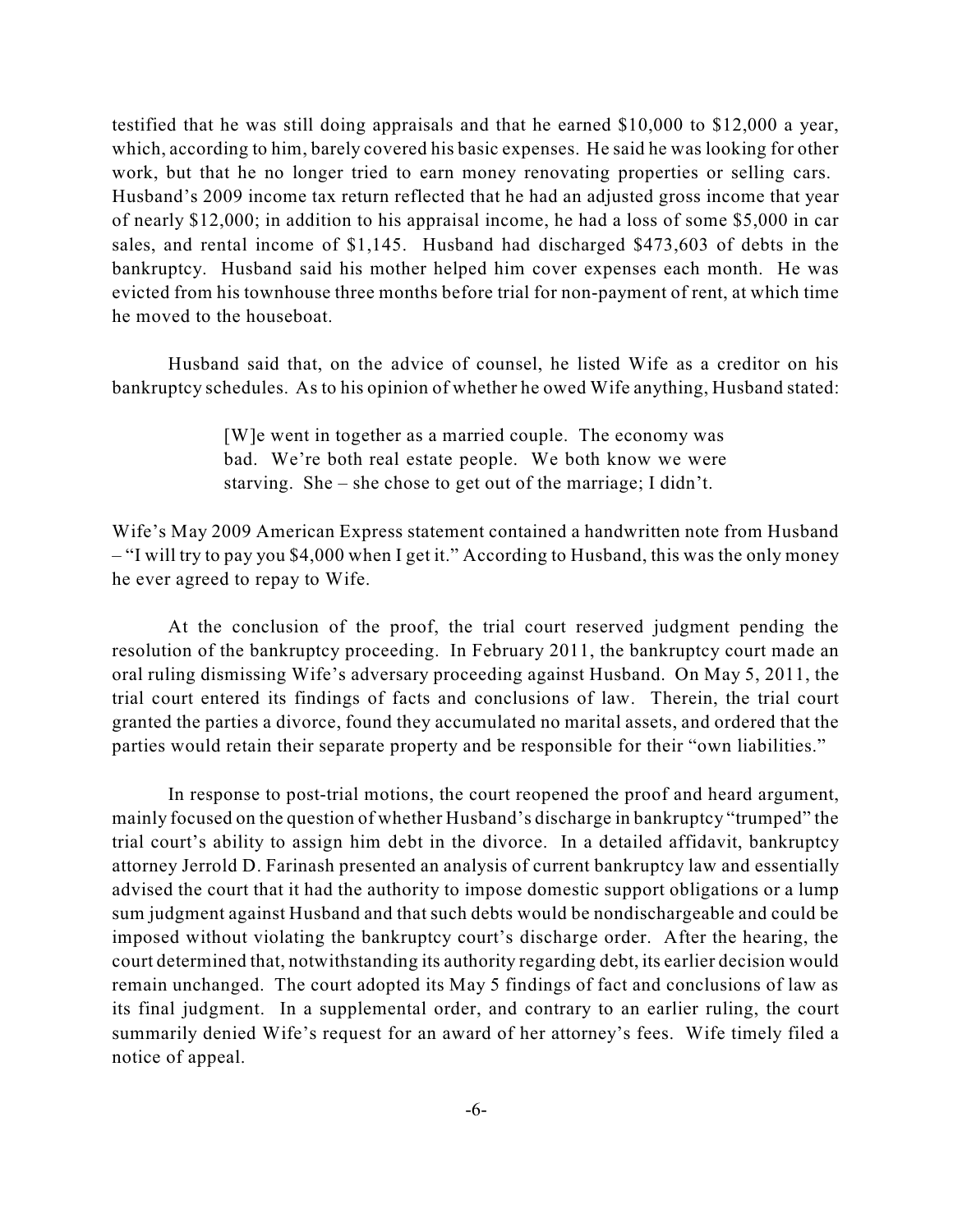testified that he was still doing appraisals and that he earned \$10,000 to \$12,000 a year, which, according to him, barely covered his basic expenses. He said he was looking for other work, but that he no longer tried to earn money renovating properties or selling cars. Husband's 2009 income tax return reflected that he had an adjusted gross income that year of nearly \$12,000; in addition to his appraisal income, he had a loss of some \$5,000 in car sales, and rental income of \$1,145. Husband had discharged \$473,603 of debts in the bankruptcy. Husband said his mother helped him cover expenses each month. He was evicted from his townhouse three months before trial for non-payment of rent, at which time he moved to the houseboat.

Husband said that, on the advice of counsel, he listed Wife as a creditor on his bankruptcy schedules. As to his opinion of whether he owed Wife anything, Husband stated:

> [W]e went in together as a married couple. The economy was bad. We're both real estate people. We both know we were starving. She – she chose to get out of the marriage; I didn't.

Wife's May 2009 American Express statement contained a handwritten note from Husband – "I will try to pay you \$4,000 when I get it." According to Husband, this was the only money he ever agreed to repay to Wife.

At the conclusion of the proof, the trial court reserved judgment pending the resolution of the bankruptcy proceeding. In February 2011, the bankruptcy court made an oral ruling dismissing Wife's adversary proceeding against Husband. On May 5, 2011, the trial court entered its findings of facts and conclusions of law. Therein, the trial court granted the parties a divorce, found they accumulated no marital assets, and ordered that the parties would retain their separate property and be responsible for their "own liabilities."

In response to post-trial motions, the court reopened the proof and heard argument, mainly focused on the question of whether Husband's discharge in bankruptcy "trumped" the trial court's ability to assign him debt in the divorce. In a detailed affidavit, bankruptcy attorney Jerrold D. Farinash presented an analysis of current bankruptcy law and essentially advised the court that it had the authority to impose domestic support obligations or a lump sum judgment against Husband and that such debts would be nondischargeable and could be imposed without violating the bankruptcy court's discharge order. After the hearing, the court determined that, notwithstanding its authority regarding debt, its earlier decision would remain unchanged. The court adopted its May 5 findings of fact and conclusions of law as its final judgment. In a supplemental order, and contrary to an earlier ruling, the court summarily denied Wife's request for an award of her attorney's fees. Wife timely filed a notice of appeal.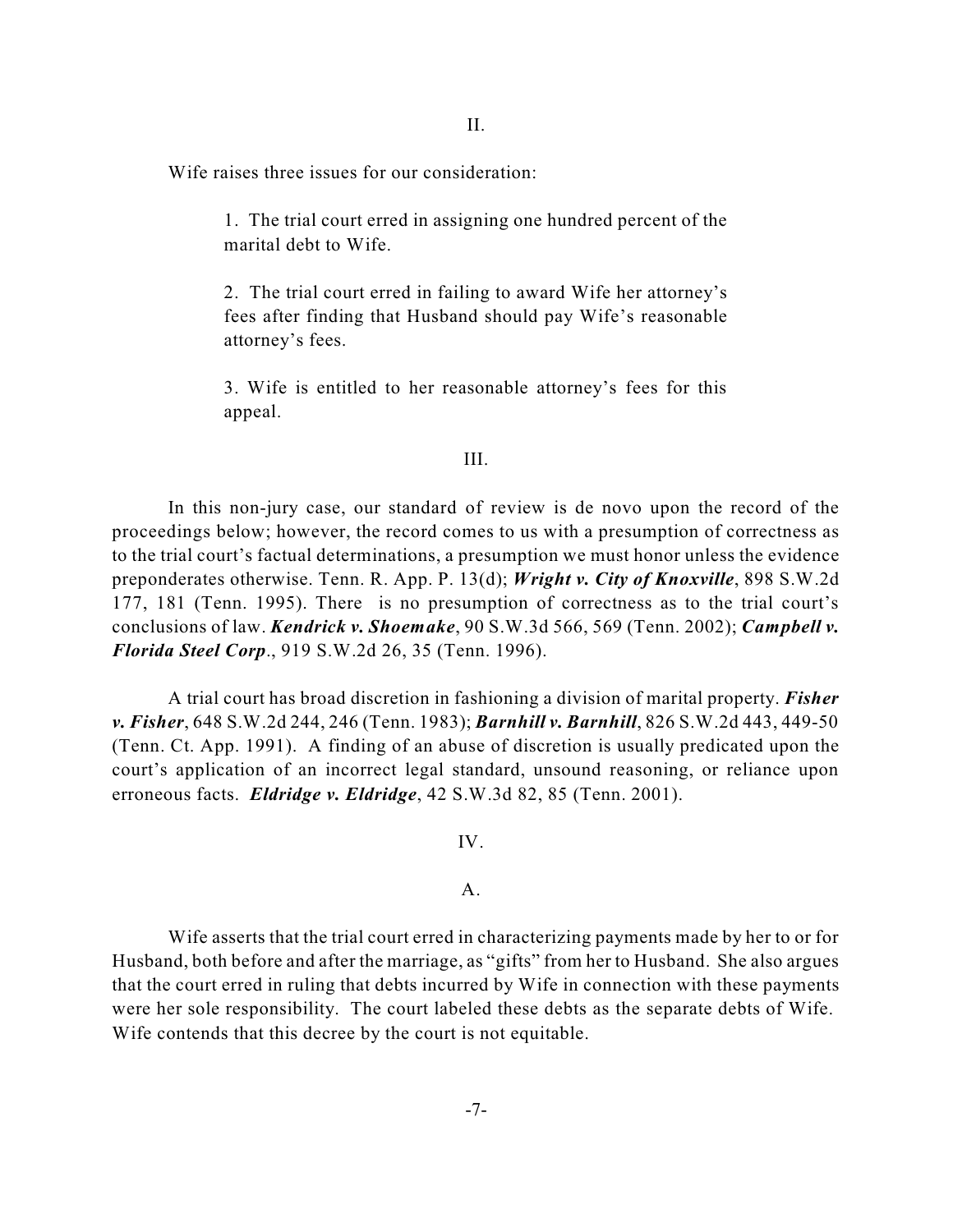Wife raises three issues for our consideration:

1. The trial court erred in assigning one hundred percent of the marital debt to Wife.

2. The trial court erred in failing to award Wife her attorney's fees after finding that Husband should pay Wife's reasonable attorney's fees.

3. Wife is entitled to her reasonable attorney's fees for this appeal.

#### III.

In this non-jury case, our standard of review is de novo upon the record of the proceedings below; however, the record comes to us with a presumption of correctness as to the trial court's factual determinations, a presumption we must honor unless the evidence preponderates otherwise. Tenn. R. App. P. 13(d); *Wright v. City of Knoxville*, 898 S.W.2d 177, 181 (Tenn. 1995). There is no presumption of correctness as to the trial court's conclusions of law. *Kendrick v. Shoemake*, 90 S.W.3d 566, 569 (Tenn. 2002); *Campbell v. Florida Steel Corp*., 919 S.W.2d 26, 35 (Tenn. 1996).

A trial court has broad discretion in fashioning a division of marital property. *Fisher v. Fisher*, 648 S.W.2d 244, 246 (Tenn. 1983); *Barnhill v. Barnhill*, 826 S.W.2d 443, 449-50 (Tenn. Ct. App. 1991). A finding of an abuse of discretion is usually predicated upon the court's application of an incorrect legal standard, unsound reasoning, or reliance upon erroneous facts. *Eldridge v. Eldridge*, 42 S.W.3d 82, 85 (Tenn. 2001).

IV.

# A.

Wife asserts that the trial court erred in characterizing payments made by her to or for Husband, both before and after the marriage, as "gifts" from her to Husband. She also argues that the court erred in ruling that debts incurred by Wife in connection with these payments were her sole responsibility. The court labeled these debts as the separate debts of Wife. Wife contends that this decree by the court is not equitable.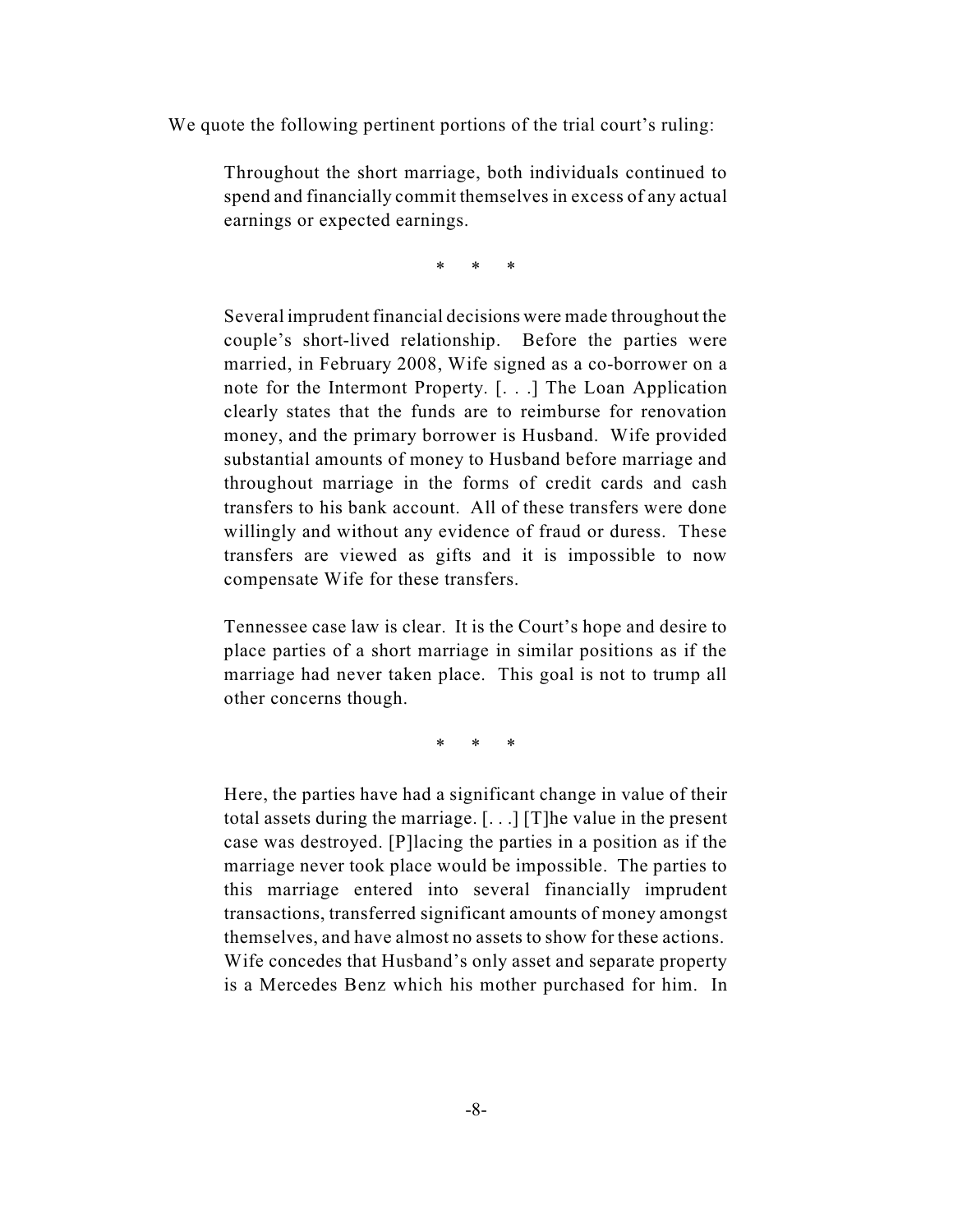We quote the following pertinent portions of the trial court's ruling:

Throughout the short marriage, both individuals continued to spend and financially commit themselves in excess of any actual earnings or expected earnings.

\* \* \*

Several imprudent financial decisions were made throughout the couple's short-lived relationship. Before the parties were married, in February 2008, Wife signed as a co-borrower on a note for the Intermont Property. [. . .] The Loan Application clearly states that the funds are to reimburse for renovation money, and the primary borrower is Husband. Wife provided substantial amounts of money to Husband before marriage and throughout marriage in the forms of credit cards and cash transfers to his bank account. All of these transfers were done willingly and without any evidence of fraud or duress. These transfers are viewed as gifts and it is impossible to now compensate Wife for these transfers.

Tennessee case law is clear. It is the Court's hope and desire to place parties of a short marriage in similar positions as if the marriage had never taken place. This goal is not to trump all other concerns though.

\* \* \*

Here, the parties have had a significant change in value of their total assets during the marriage. [. . .] [T]he value in the present case was destroyed. [P]lacing the parties in a position as if the marriage never took place would be impossible. The parties to this marriage entered into several financially imprudent transactions, transferred significant amounts of money amongst themselves, and have almost no assets to show for these actions. Wife concedes that Husband's only asset and separate property is a Mercedes Benz which his mother purchased for him. In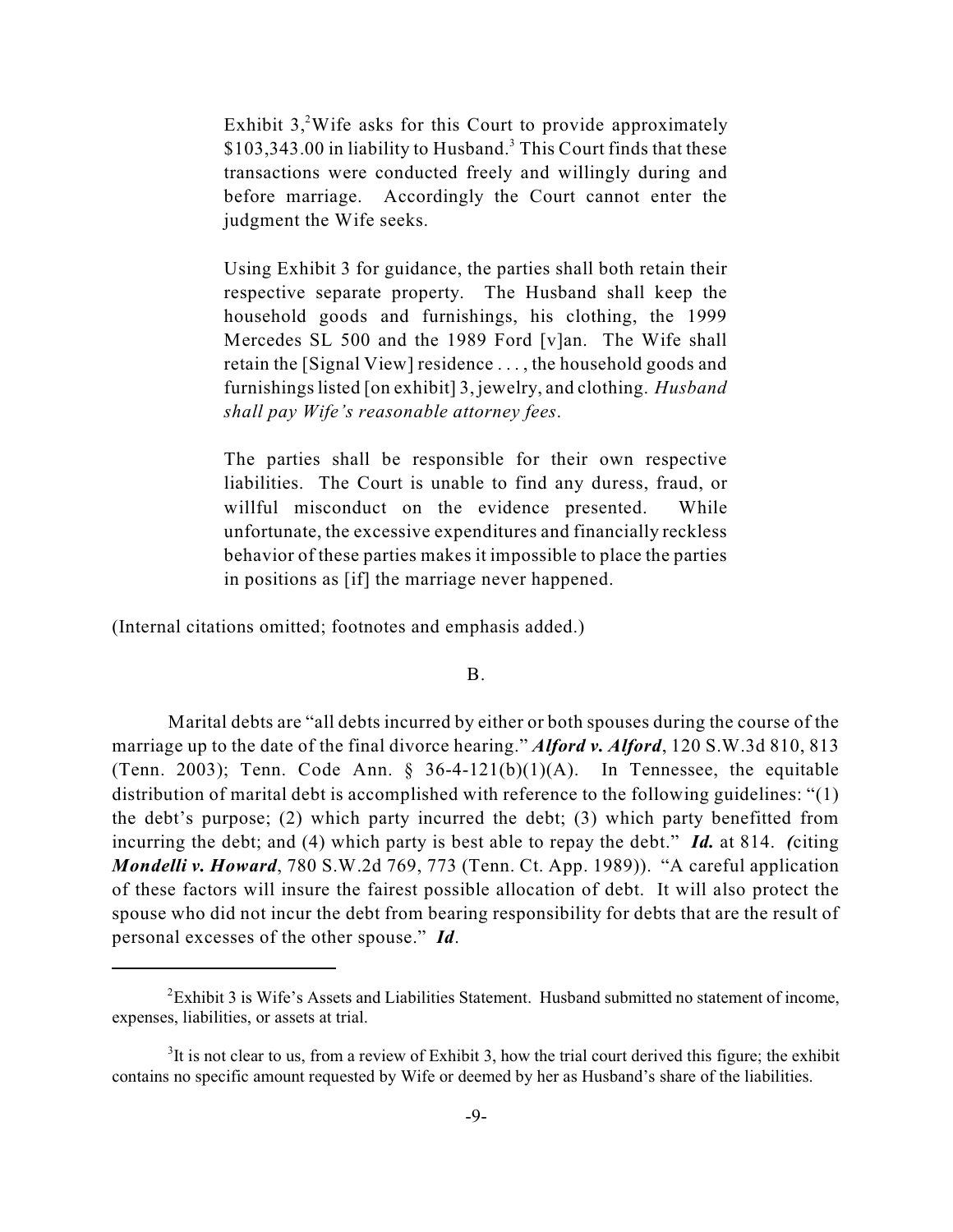Exhibit  $3$ , <sup>2</sup>Wife asks for this Court to provide approximately \$103,343.00 in liability to Husband.<sup>3</sup> This Court finds that these transactions were conducted freely and willingly during and before marriage. Accordingly the Court cannot enter the judgment the Wife seeks.

Using Exhibit 3 for guidance, the parties shall both retain their respective separate property. The Husband shall keep the household goods and furnishings, his clothing, the 1999 Mercedes SL 500 and the 1989 Ford [v]an. The Wife shall retain the [Signal View] residence . . . , the household goods and furnishingslisted [on exhibit] 3, jewelry, and clothing. *Husband shall pay Wife's reasonable attorney fees*.

The parties shall be responsible for their own respective liabilities. The Court is unable to find any duress, fraud, or willful misconduct on the evidence presented. While unfortunate, the excessive expenditures and financially reckless behavior of these parties makes it impossible to place the parties in positions as [if] the marriage never happened.

(Internal citations omitted; footnotes and emphasis added.)

B.

Marital debts are "all debts incurred by either or both spouses during the course of the marriage up to the date of the final divorce hearing." *Alford v. Alford*, 120 S.W.3d 810, 813 (Tenn. 2003); Tenn. Code Ann.  $\S$  36-4-121(b)(1)(A). In Tennessee, the equitable distribution of marital debt is accomplished with reference to the following guidelines: "(1) the debt's purpose; (2) which party incurred the debt; (3) which party benefitted from incurring the debt; and (4) which party is best able to repay the debt." *Id.* at 814. *(*citing *Mondelli v. Howard*, 780 S.W.2d 769, 773 (Tenn. Ct. App. 1989)). "A careful application of these factors will insure the fairest possible allocation of debt. It will also protect the spouse who did not incur the debt from bearing responsibility for debts that are the result of personal excesses of the other spouse." *Id*.

<sup>&</sup>lt;sup>2</sup> Exhibit 3 is Wife's Assets and Liabilities Statement. Husband submitted no statement of income, expenses, liabilities, or assets at trial.

 ${}^{3}$ It is not clear to us, from a review of Exhibit 3, how the trial court derived this figure; the exhibit contains no specific amount requested by Wife or deemed by her as Husband's share of the liabilities.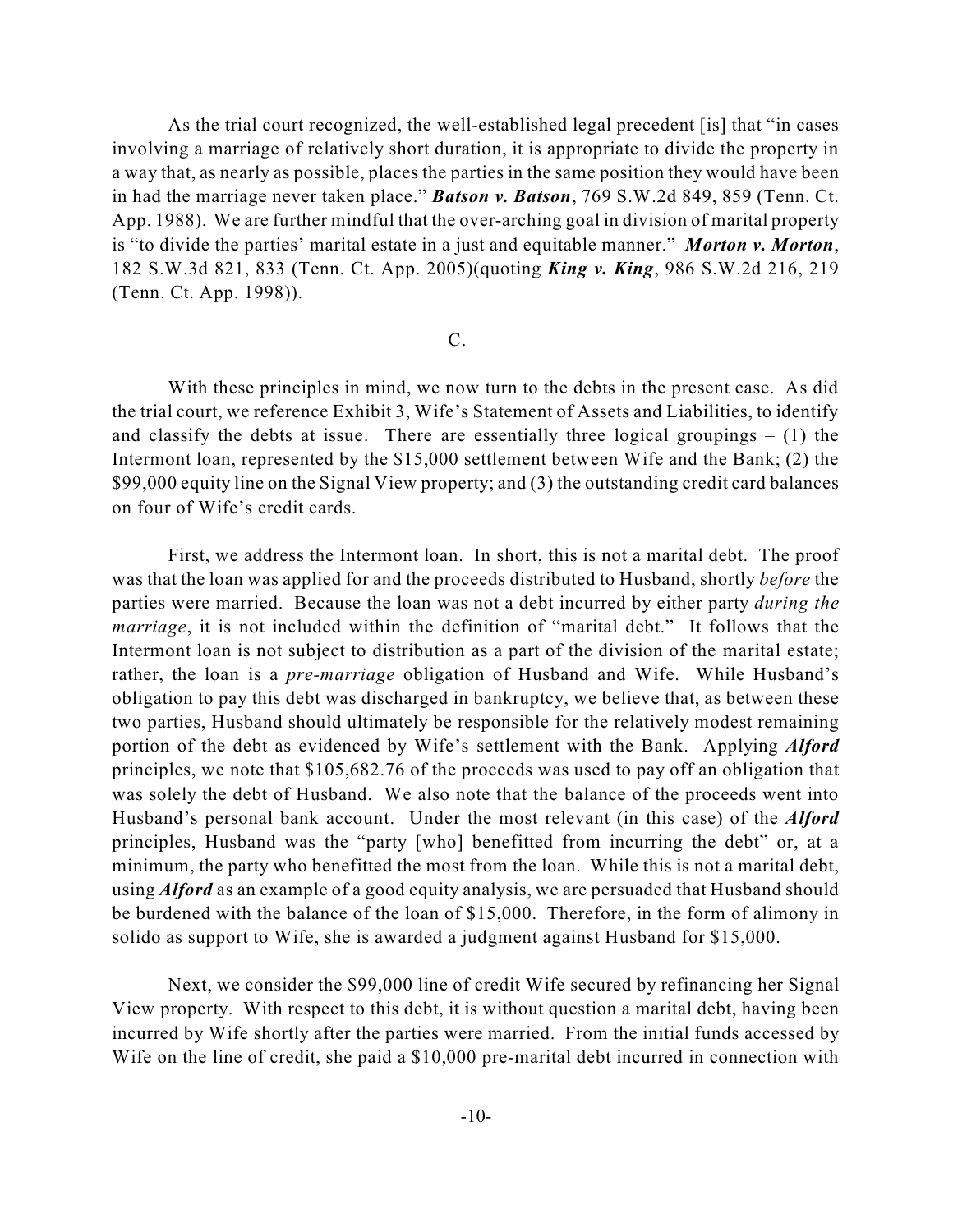As the trial court recognized, the well-established legal precedent [is] that "in cases involving a marriage of relatively short duration, it is appropriate to divide the property in a way that, as nearly as possible, places the parties in the same position they would have been in had the marriage never taken place." *Batson v. Batson*, 769 S.W.2d 849, 859 (Tenn. Ct. App. 1988). We are further mindful that the over-arching goal in division of marital property is "to divide the parties' marital estate in a just and equitable manner." *Morton v. Morton*, 182 S.W.3d 821, 833 (Tenn. Ct. App. 2005)(quoting *King v. King*, 986 S.W.2d 216, 219 (Tenn. Ct. App. 1998)).

#### C.

With these principles in mind, we now turn to the debts in the present case. As did the trial court, we reference Exhibit 3, Wife's Statement of Assets and Liabilities, to identify and classify the debts at issue. There are essentially three logical groupings  $- (1)$  the Intermont loan, represented by the \$15,000 settlement between Wife and the Bank; (2) the \$99,000 equity line on the Signal View property; and (3) the outstanding credit card balances on four of Wife's credit cards.

First, we address the Intermont loan. In short, this is not a marital debt. The proof was that the loan was applied for and the proceeds distributed to Husband, shortly *before* the parties were married. Because the loan was not a debt incurred by either party *during the marriage*, it is not included within the definition of "marital debt." It follows that the Intermont loan is not subject to distribution as a part of the division of the marital estate; rather, the loan is a *pre-marriage* obligation of Husband and Wife. While Husband's obligation to pay this debt was discharged in bankruptcy, we believe that, as between these two parties, Husband should ultimately be responsible for the relatively modest remaining portion of the debt as evidenced by Wife's settlement with the Bank. Applying *Alford* principles, we note that \$105,682.76 of the proceeds was used to pay off an obligation that was solely the debt of Husband. We also note that the balance of the proceeds went into Husband's personal bank account. Under the most relevant (in this case) of the *Alford* principles, Husband was the "party [who] benefitted from incurring the debt" or, at a minimum, the party who benefitted the most from the loan. While this is not a marital debt, using *Alford* as an example of a good equity analysis, we are persuaded that Husband should be burdened with the balance of the loan of \$15,000. Therefore, in the form of alimony in solido as support to Wife, she is awarded a judgment against Husband for \$15,000.

Next, we consider the \$99,000 line of credit Wife secured by refinancing her Signal View property. With respect to this debt, it is without question a marital debt, having been incurred by Wife shortly after the parties were married. From the initial funds accessed by Wife on the line of credit, she paid a \$10,000 pre-marital debt incurred in connection with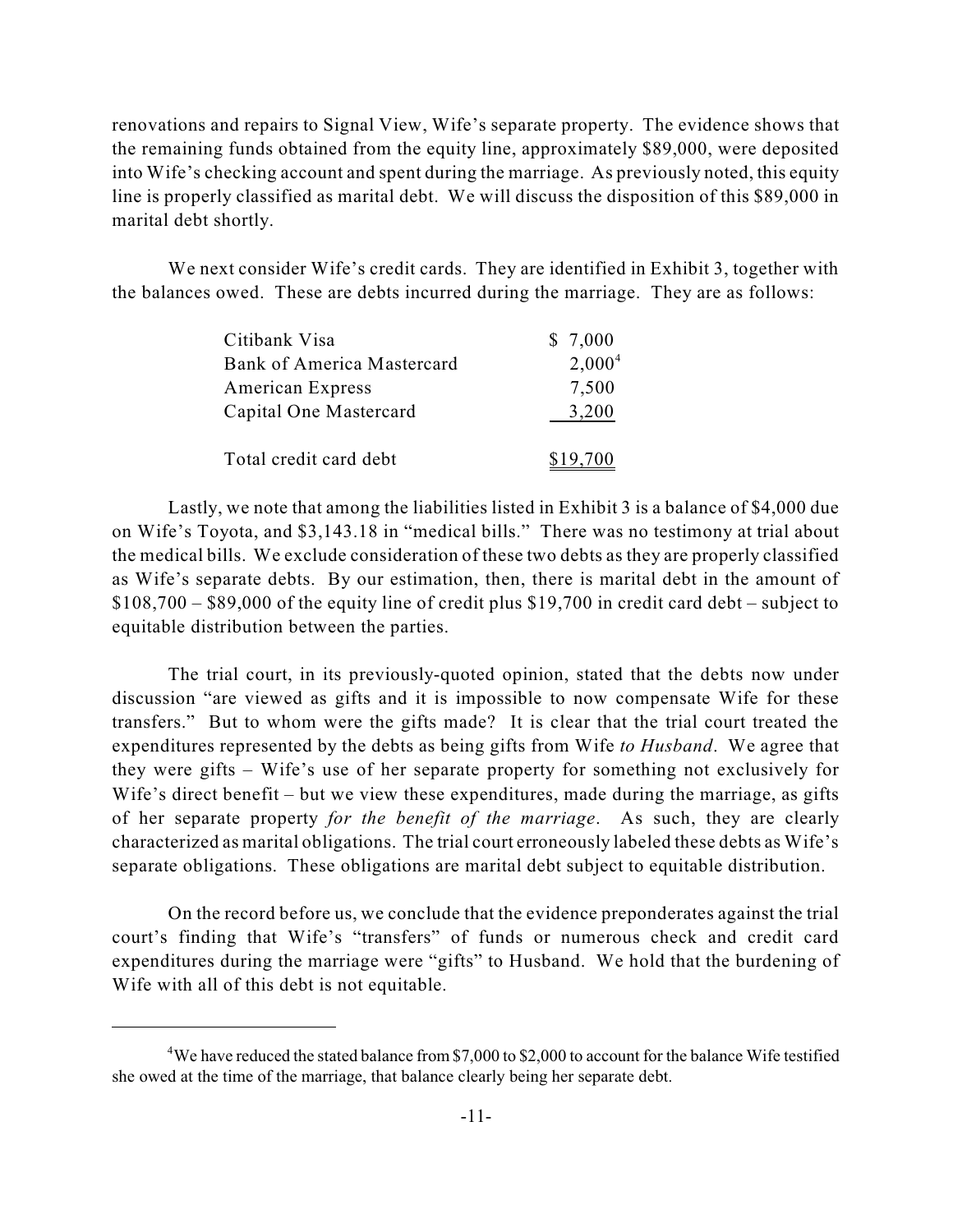renovations and repairs to Signal View, Wife's separate property. The evidence shows that the remaining funds obtained from the equity line, approximately \$89,000, were deposited into Wife's checking account and spent during the marriage. As previously noted, this equity line is properly classified as marital debt. We will discuss the disposition of this \$89,000 in marital debt shortly.

We next consider Wife's credit cards. They are identified in Exhibit 3, together with the balances owed. These are debts incurred during the marriage. They are as follows:

| Citibank Visa                     | \$7,000   |
|-----------------------------------|-----------|
| <b>Bank of America Mastercard</b> | $2,000^4$ |
| <b>American Express</b>           | 7,500     |
| Capital One Mastercard            | 3,200     |
| Total credit card debt            | \$19,700  |

Lastly, we note that among the liabilities listed in Exhibit 3 is a balance of \$4,000 due on Wife's Toyota, and \$3,143.18 in "medical bills." There was no testimony at trial about the medical bills. We exclude consideration of these two debts as they are properly classified as Wife's separate debts. By our estimation, then, there is marital debt in the amount of \$108,700 – \$89,000 of the equity line of credit plus \$19,700 in credit card debt – subject to equitable distribution between the parties.

The trial court, in its previously-quoted opinion, stated that the debts now under discussion "are viewed as gifts and it is impossible to now compensate Wife for these transfers." But to whom were the gifts made? It is clear that the trial court treated the expenditures represented by the debts as being gifts from Wife *to Husband*. We agree that they were gifts – Wife's use of her separate property for something not exclusively for Wife's direct benefit – but we view these expenditures, made during the marriage, as gifts of her separate property *for the benefit of the marriage*. As such, they are clearly characterized as marital obligations. The trial court erroneously labeled these debts as Wife's separate obligations. These obligations are marital debt subject to equitable distribution.

On the record before us, we conclude that the evidence preponderates against the trial court's finding that Wife's "transfers" of funds or numerous check and credit card expenditures during the marriage were "gifts" to Husband. We hold that the burdening of Wife with all of this debt is not equitable.

<sup>&</sup>lt;sup>4</sup>We have reduced the stated balance from \$7,000 to \$2,000 to account for the balance Wife testified she owed at the time of the marriage, that balance clearly being her separate debt.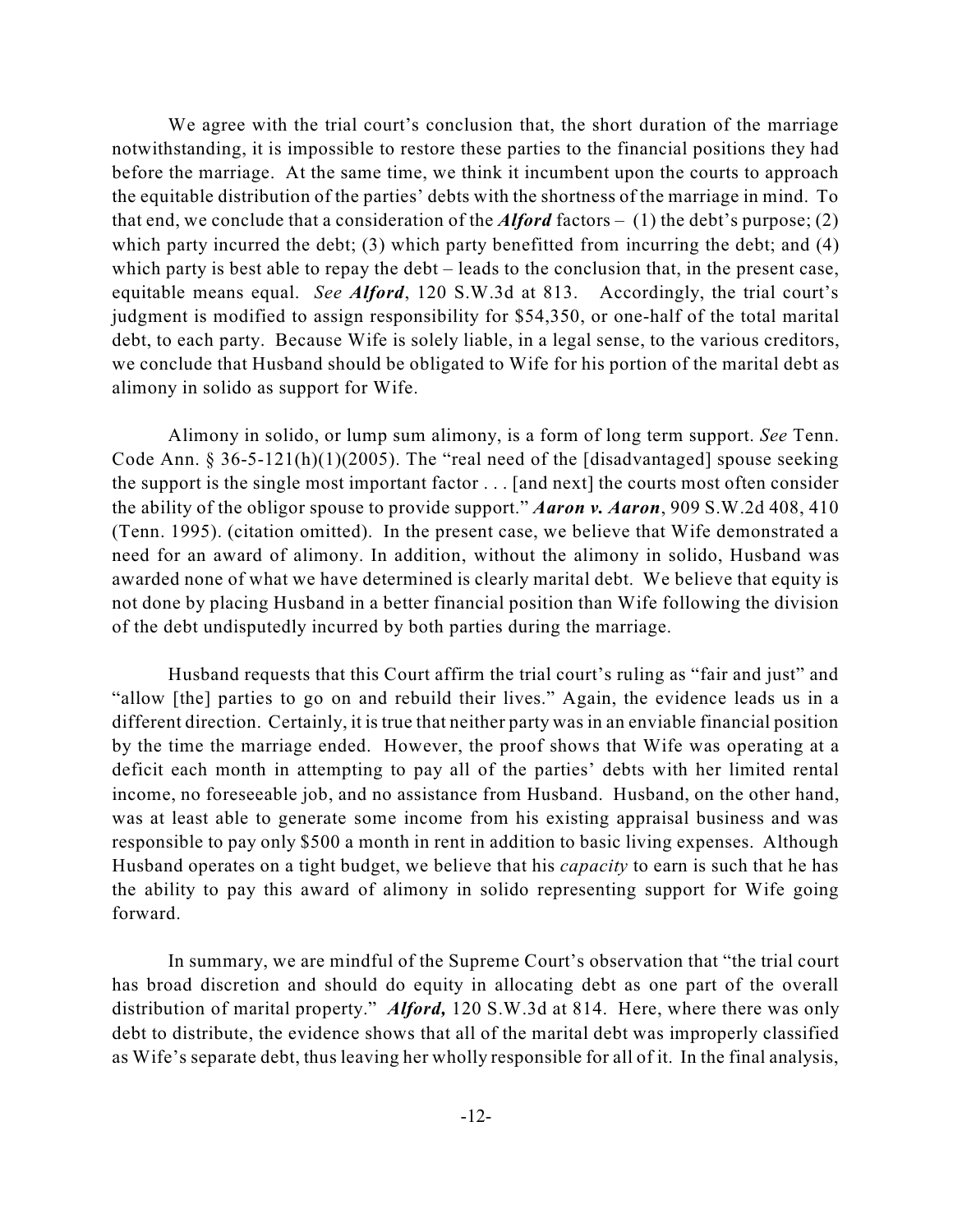We agree with the trial court's conclusion that, the short duration of the marriage notwithstanding, it is impossible to restore these parties to the financial positions they had before the marriage. At the same time, we think it incumbent upon the courts to approach the equitable distribution of the parties' debts with the shortness of the marriage in mind. To that end, we conclude that a consideration of the *Alford* factors – (1) the debt's purpose; (2) which party incurred the debt; (3) which party benefitted from incurring the debt; and (4) which party is best able to repay the debt – leads to the conclusion that, in the present case, equitable means equal. *See Alford*, 120 S.W.3d at 813. Accordingly, the trial court's judgment is modified to assign responsibility for \$54,350, or one-half of the total marital debt, to each party. Because Wife is solely liable, in a legal sense, to the various creditors, we conclude that Husband should be obligated to Wife for his portion of the marital debt as alimony in solido as support for Wife.

Alimony in solido, or lump sum alimony, is a form of long term support. *See* Tenn. Code Ann. § 36-5-121(h)(1)(2005). The "real need of the [disadvantaged] spouse seeking the support is the single most important factor . . . [and next] the courts most often consider the ability of the obligor spouse to provide support." *Aaron v. Aaron*, 909 S.W.2d 408, 410 (Tenn. 1995). (citation omitted). In the present case, we believe that Wife demonstrated a need for an award of alimony. In addition, without the alimony in solido, Husband was awarded none of what we have determined is clearly marital debt. We believe that equity is not done by placing Husband in a better financial position than Wife following the division of the debt undisputedly incurred by both parties during the marriage.

Husband requests that this Court affirm the trial court's ruling as "fair and just" and "allow [the] parties to go on and rebuild their lives." Again, the evidence leads us in a different direction. Certainly, it is true that neither party was in an enviable financial position by the time the marriage ended. However, the proof shows that Wife was operating at a deficit each month in attempting to pay all of the parties' debts with her limited rental income, no foreseeable job, and no assistance from Husband. Husband, on the other hand, was at least able to generate some income from his existing appraisal business and was responsible to pay only \$500 a month in rent in addition to basic living expenses. Although Husband operates on a tight budget, we believe that his *capacity* to earn is such that he has the ability to pay this award of alimony in solido representing support for Wife going forward.

In summary, we are mindful of the Supreme Court's observation that "the trial court has broad discretion and should do equity in allocating debt as one part of the overall distribution of marital property." *Alford,* 120 S.W.3d at 814. Here, where there was only debt to distribute, the evidence shows that all of the marital debt was improperly classified as Wife's separate debt, thus leaving her wholly responsible for all of it. In the final analysis,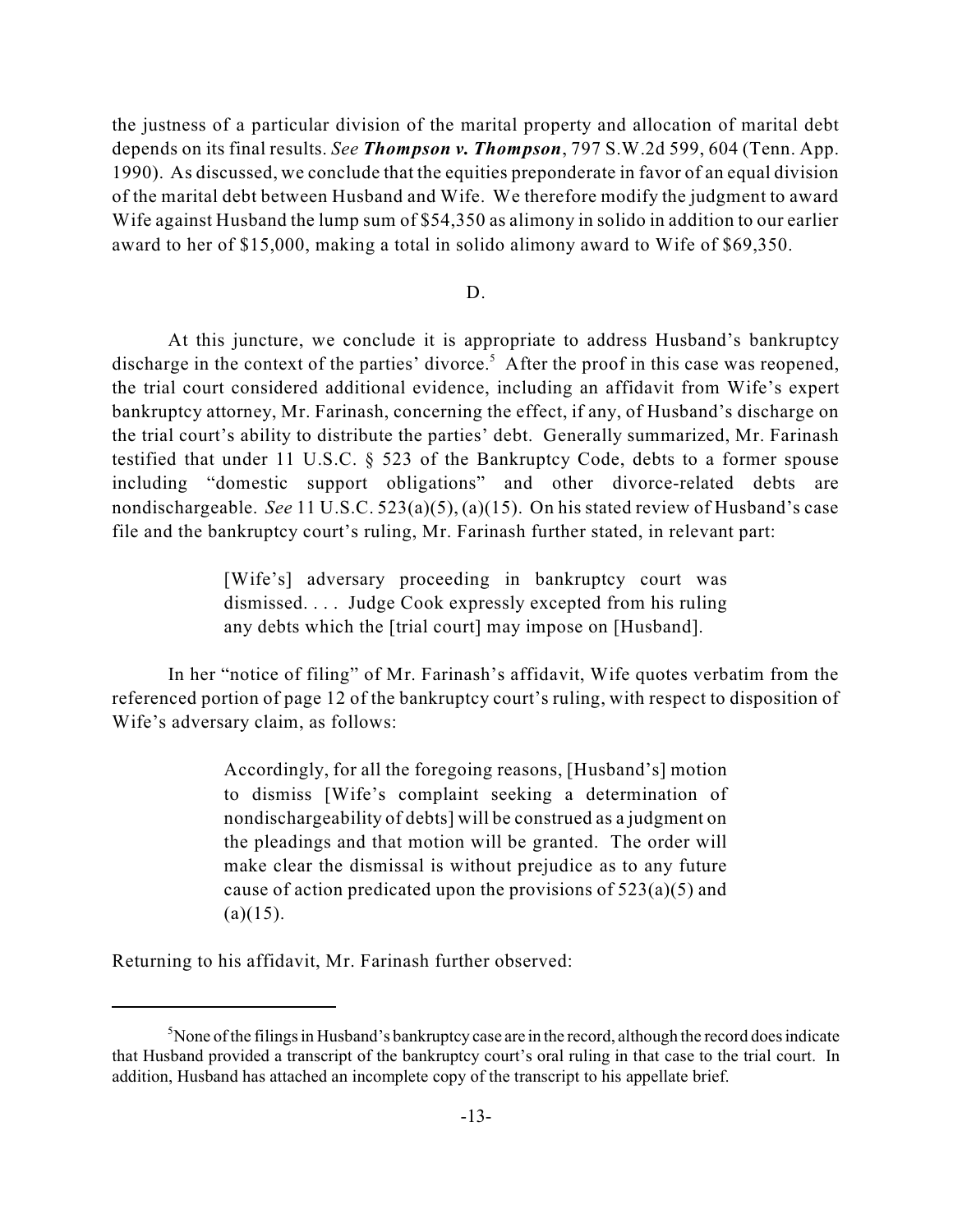the justness of a particular division of the marital property and allocation of marital debt depends on its final results. *See Thompson v. Thompson*, 797 S.W.2d 599, 604 (Tenn. App. 1990). As discussed, we conclude that the equities preponderate in favor of an equal division of the marital debt between Husband and Wife. We therefore modify the judgment to award Wife against Husband the lump sum of \$54,350 as alimony in solido in addition to our earlier award to her of \$15,000, making a total in solido alimony award to Wife of \$69,350.

### D.

At this juncture, we conclude it is appropriate to address Husband's bankruptcy discharge in the context of the parties' divorce.<sup>5</sup> After the proof in this case was reopened, the trial court considered additional evidence, including an affidavit from Wife's expert bankruptcy attorney, Mr. Farinash, concerning the effect, if any, of Husband's discharge on the trial court's ability to distribute the parties' debt. Generally summarized, Mr. Farinash testified that under 11 U.S.C. § 523 of the Bankruptcy Code, debts to a former spouse including "domestic support obligations" and other divorce-related debts are nondischargeable. *See* 11 U.S.C. 523(a)(5), (a)(15). On his stated review of Husband's case file and the bankruptcy court's ruling, Mr. Farinash further stated, in relevant part:

> [Wife's] adversary proceeding in bankruptcy court was dismissed. . . . Judge Cook expressly excepted from his ruling any debts which the [trial court] may impose on [Husband].

In her "notice of filing" of Mr. Farinash's affidavit, Wife quotes verbatim from the referenced portion of page 12 of the bankruptcy court's ruling, with respect to disposition of Wife's adversary claim, as follows:

> Accordingly, for all the foregoing reasons, [Husband's] motion to dismiss [Wife's complaint seeking a determination of nondischargeability of debts] will be construed as a judgment on the pleadings and that motion will be granted. The order will make clear the dismissal is without prejudice as to any future cause of action predicated upon the provisions of  $523(a)(5)$  and  $(a)(15)$ .

Returning to his affidavit, Mr. Farinash further observed:

 $5$ None of the filings in Husband's bankruptcy case are in the record, although the record does indicate that Husband provided a transcript of the bankruptcy court's oral ruling in that case to the trial court. In addition, Husband has attached an incomplete copy of the transcript to his appellate brief.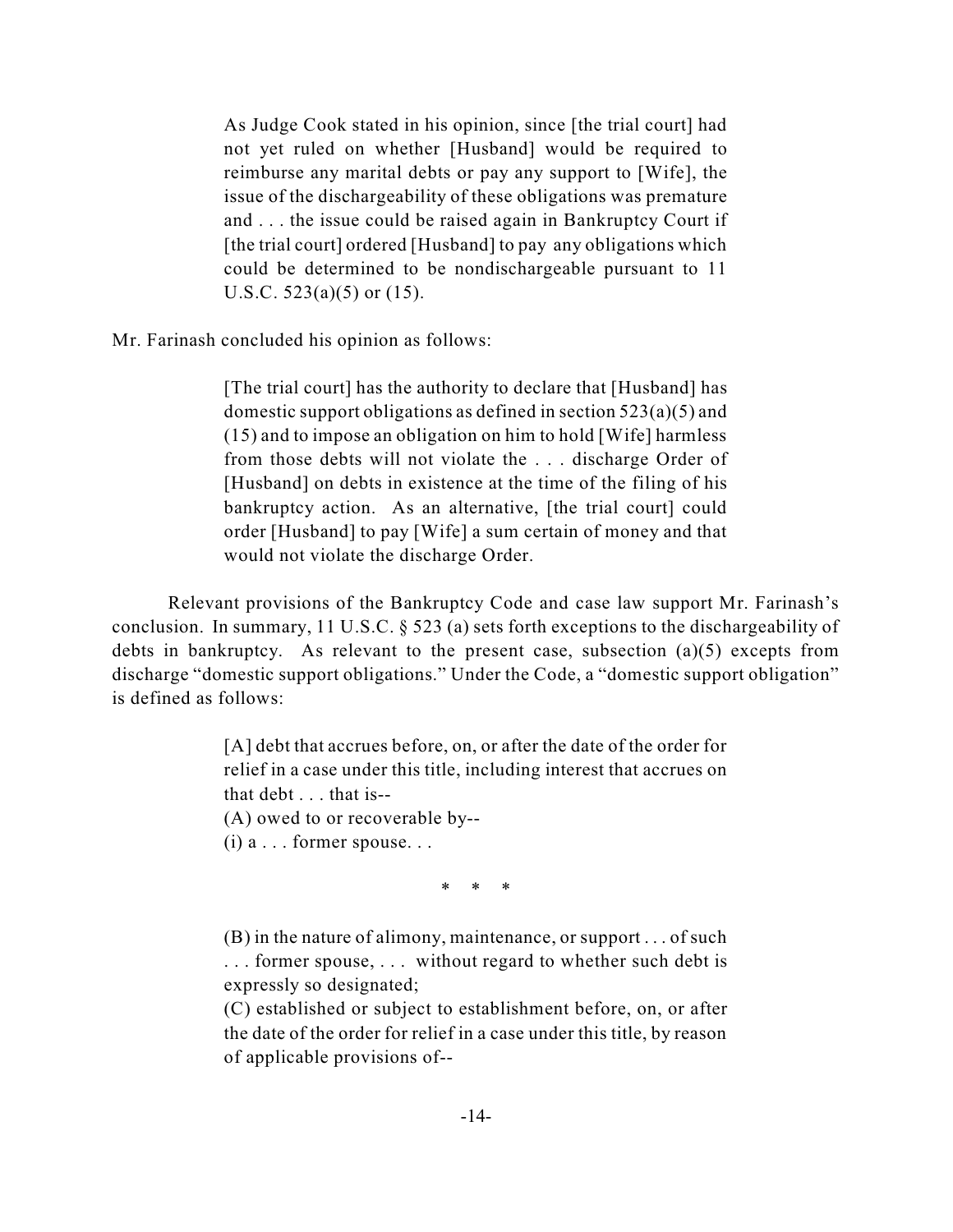As Judge Cook stated in his opinion, since [the trial court] had not yet ruled on whether [Husband] would be required to reimburse any marital debts or pay any support to [Wife], the issue of the dischargeability of these obligations was premature and . . . the issue could be raised again in Bankruptcy Court if [the trial court] ordered [Husband] to pay any obligations which could be determined to be nondischargeable pursuant to 11 U.S.C.  $523(a)(5)$  or  $(15)$ .

Mr. Farinash concluded his opinion as follows:

[The trial court] has the authority to declare that [Husband] has domestic support obligations as defined in section 523(a)(5) and (15) and to impose an obligation on him to hold [Wife] harmless from those debts will not violate the . . . discharge Order of [Husband] on debts in existence at the time of the filing of his bankruptcy action. As an alternative, [the trial court] could order [Husband] to pay [Wife] a sum certain of money and that would not violate the discharge Order.

Relevant provisions of the Bankruptcy Code and case law support Mr. Farinash's conclusion. In summary, 11 U.S.C. § 523 (a) sets forth exceptions to the dischargeability of debts in bankruptcy. As relevant to the present case, subsection (a)(5) excepts from discharge "domestic support obligations." Under the Code, a "domestic support obligation" is defined as follows:

> [A] debt that accrues before, on, or after the date of the order for relief in a case under this title, including interest that accrues on that debt . . . that is--

(A) owed to or recoverable by--

 $(i)$  a  $\ldots$  former spouse...

\* \* \*

(B) in the nature of alimony, maintenance, or support . . . of such . . . former spouse, . . . without regard to whether such debt is expressly so designated;

(C) established or subject to establishment before, on, or after the date of the order for relief in a case under this title, by reason of applicable provisions of--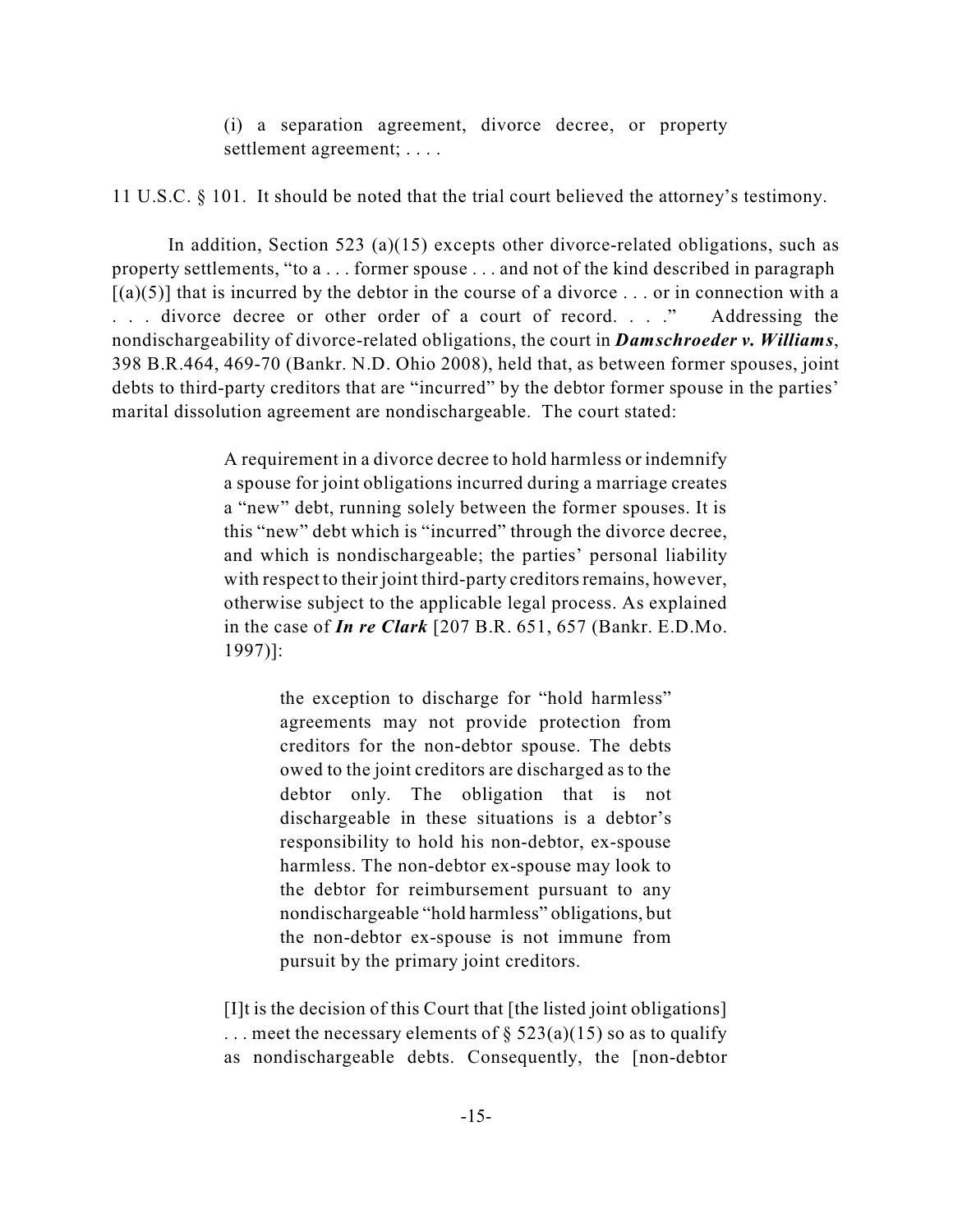(i) a separation agreement, divorce decree, or property settlement agreement; . . . .

11 U.S.C. § 101. It should be noted that the trial court believed the attorney's testimony.

In addition, Section 523 (a)(15) excepts other divorce-related obligations, such as property settlements, "to a . . . former spouse . . . and not of the kind described in paragraph  $[(a)(5)]$  that is incurred by the debtor in the course of a divorce ... or in connection with a ... divorce decree or other order of a court of record...." Addressing the nondischargeability of divorce-related obligations, the court in *Damschroeder v. Williams*, 398 B.R.464, 469-70 (Bankr. N.D. Ohio 2008), held that, as between former spouses, joint debts to third-party creditors that are "incurred" by the debtor former spouse in the parties' marital dissolution agreement are nondischargeable. The court stated:

> A requirement in a divorce decree to hold harmless or indemnify a spouse for joint obligations incurred during a marriage creates a "new" debt, running solely between the former spouses. It is this "new" debt which is "incurred" through the divorce decree, and which is nondischargeable; the parties' personal liability with respect to their joint third-party creditors remains, however, otherwise subject to the applicable legal process. As explained in the case of *In re Clark* [207 B.R. 651, 657 (Bankr. E.D.Mo. 1997)]:

> > the exception to discharge for "hold harmless" agreements may not provide protection from creditors for the non-debtor spouse. The debts owed to the joint creditors are discharged as to the debtor only. The obligation that is not dischargeable in these situations is a debtor's responsibility to hold his non-debtor, ex-spouse harmless. The non-debtor ex-spouse may look to the debtor for reimbursement pursuant to any nondischargeable "hold harmless" obligations, but the non-debtor ex-spouse is not immune from pursuit by the primary joint creditors.

[I]t is the decision of this Court that [the listed joint obligations] ... meet the necessary elements of  $\S 523(a)(15)$  so as to qualify as nondischargeable debts. Consequently, the [non-debtor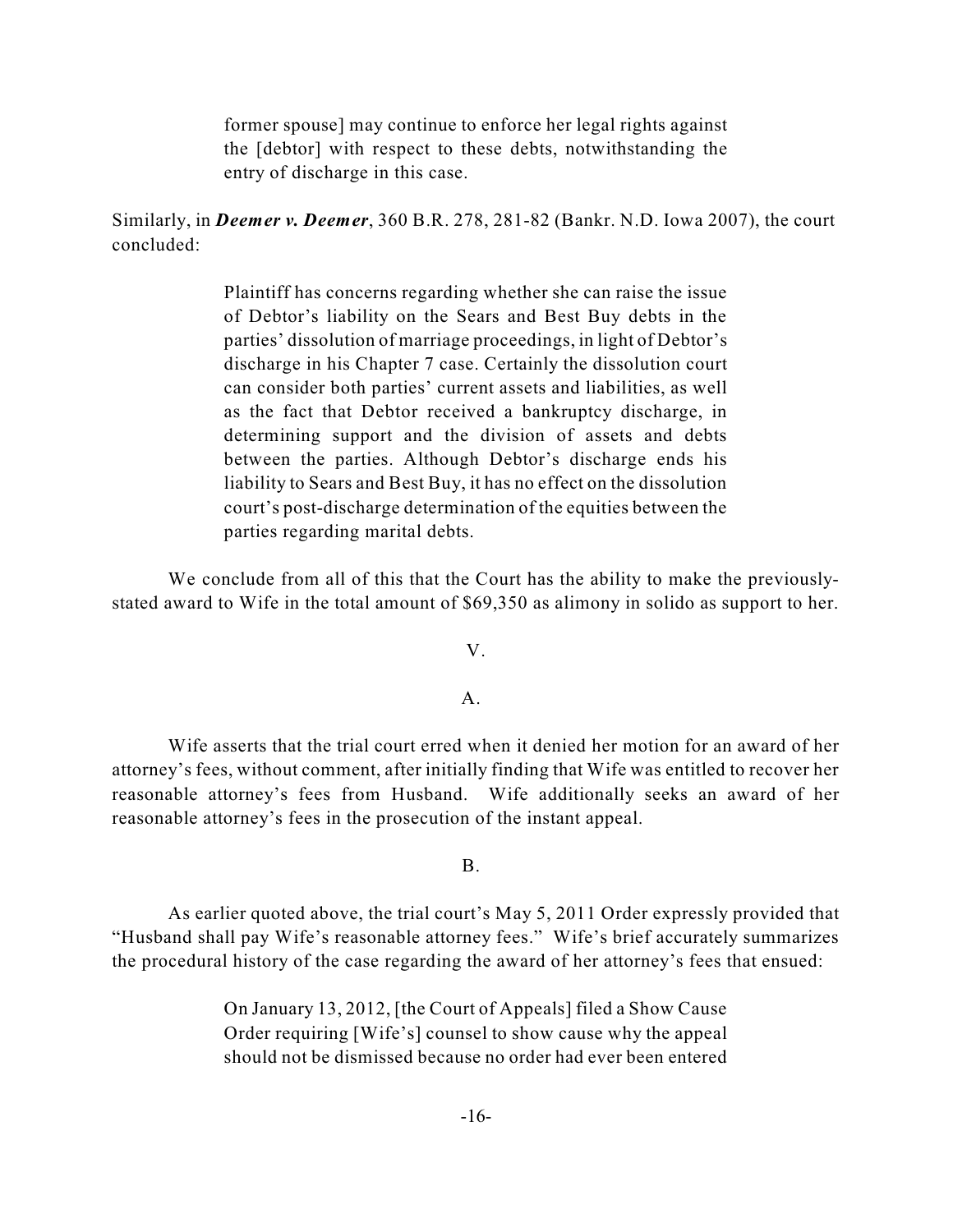former spouse] may continue to enforce her legal rights against the [debtor] with respect to these debts, notwithstanding the entry of discharge in this case.

Similarly, in *Deemer v. Deemer*, 360 B.R. 278, 281-82 (Bankr. N.D. Iowa 2007), the court concluded:

> Plaintiff has concerns regarding whether she can raise the issue of Debtor's liability on the Sears and Best Buy debts in the parties' dissolution of marriage proceedings, in light of Debtor's discharge in his Chapter 7 case. Certainly the dissolution court can consider both parties' current assets and liabilities, as well as the fact that Debtor received a bankruptcy discharge, in determining support and the division of assets and debts between the parties. Although Debtor's discharge ends his liability to Sears and Best Buy, it has no effect on the dissolution court's post-discharge determination of the equities between the parties regarding marital debts.

We conclude from all of this that the Court has the ability to make the previouslystated award to Wife in the total amount of \$69,350 as alimony in solido as support to her.

V.

### $A<sub>1</sub>$

Wife asserts that the trial court erred when it denied her motion for an award of her attorney's fees, without comment, after initially finding that Wife was entitled to recover her reasonable attorney's fees from Husband. Wife additionally seeks an award of her reasonable attorney's fees in the prosecution of the instant appeal.

# B.

As earlier quoted above, the trial court's May 5, 2011 Order expressly provided that "Husband shall pay Wife's reasonable attorney fees." Wife's brief accurately summarizes the procedural history of the case regarding the award of her attorney's fees that ensued:

> On January 13, 2012, [the Court of Appeals] filed a Show Cause Order requiring [Wife's] counsel to show cause why the appeal should not be dismissed because no order had ever been entered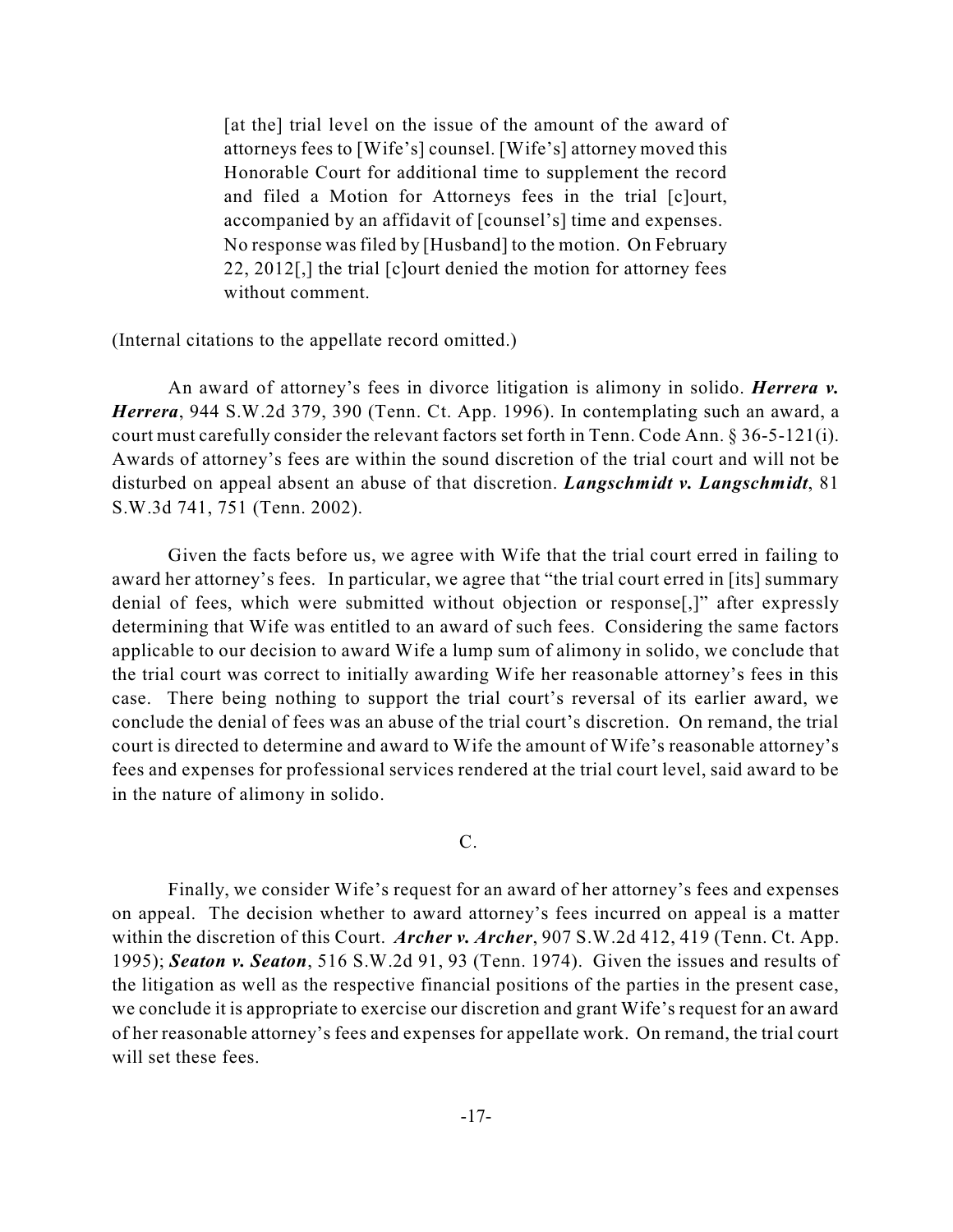[at the] trial level on the issue of the amount of the award of attorneys fees to [Wife's] counsel. [Wife's] attorney moved this Honorable Court for additional time to supplement the record and filed a Motion for Attorneys fees in the trial [c]ourt, accompanied by an affidavit of [counsel's] time and expenses. No response was filed by [Husband] to the motion. On February 22, 2012[,] the trial [c]ourt denied the motion for attorney fees without comment.

(Internal citations to the appellate record omitted.)

An award of attorney's fees in divorce litigation is alimony in solido. *Herrera v. Herrera*, 944 S.W.2d 379, 390 (Tenn. Ct. App. 1996). In contemplating such an award, a court must carefully consider the relevant factors set forth in Tenn. Code Ann. § 36-5-121(i). Awards of attorney's fees are within the sound discretion of the trial court and will not be disturbed on appeal absent an abuse of that discretion. *Langschmidt v. Langschmidt*, 81 S.W.3d 741, 751 (Tenn. 2002).

Given the facts before us, we agree with Wife that the trial court erred in failing to award her attorney's fees. In particular, we agree that "the trial court erred in [its] summary denial of fees, which were submitted without objection or response[,]" after expressly determining that Wife was entitled to an award of such fees. Considering the same factors applicable to our decision to award Wife a lump sum of alimony in solido, we conclude that the trial court was correct to initially awarding Wife her reasonable attorney's fees in this case. There being nothing to support the trial court's reversal of its earlier award, we conclude the denial of fees was an abuse of the trial court's discretion. On remand, the trial court is directed to determine and award to Wife the amount of Wife's reasonable attorney's fees and expenses for professional services rendered at the trial court level, said award to be in the nature of alimony in solido.

C.

Finally, we consider Wife's request for an award of her attorney's fees and expenses on appeal. The decision whether to award attorney's fees incurred on appeal is a matter within the discretion of this Court. *Archer v. Archer*, 907 S.W.2d 412, 419 (Tenn. Ct. App. 1995); *Seaton v. Seaton*, 516 S.W.2d 91, 93 (Tenn. 1974). Given the issues and results of the litigation as well as the respective financial positions of the parties in the present case, we conclude it is appropriate to exercise our discretion and grant Wife's request for an award of her reasonable attorney's fees and expenses for appellate work. On remand, the trial court will set these fees.